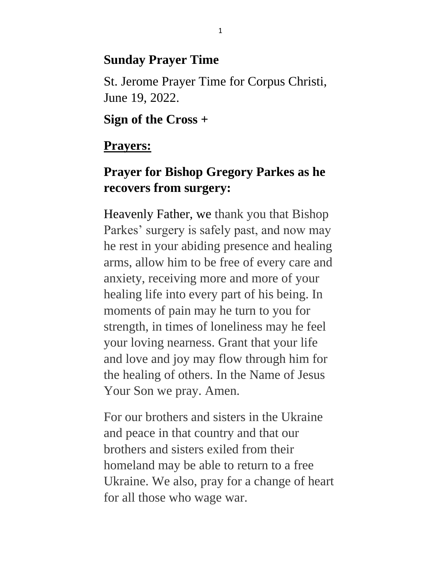#### **Sunday Prayer Time**

St. Jerome Prayer Time for Corpus Christi, June 19, 2022.

**Sign of the Cross +**

### **Prayers:**

# **Prayer for Bishop Gregory Parkes as he recovers from surgery:**

Heavenly Father, we thank you that Bishop Parkes' surgery is safely past, and now may he rest in your abiding presence and healing arms, allow him to be free of every care and anxiety, receiving more and more of your healing life into every part of his being. In moments of pain may he turn to you for strength, in times of loneliness may he feel your loving nearness. Grant that your life and love and joy may flow through him for the healing of others. In the Name of Jesus Your Son we pray. Amen.

For our brothers and sisters in the Ukraine and peace in that country and that our brothers and sisters exiled from their homeland may be able to return to a free Ukraine. We also, pray for a change of heart for all those who wage war.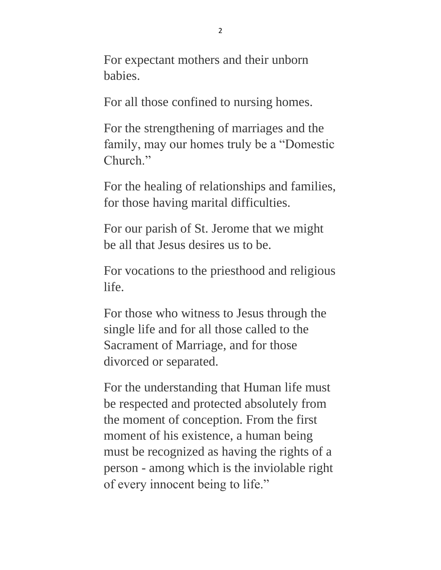For expectant mothers and their unborn babies.

For all those confined to nursing homes.

For the strengthening of marriages and the family, may our homes truly be a "Domestic Church."

For the healing of relationships and families, for those having marital difficulties.

For our parish of St. Jerome that we might be all that Jesus desires us to be.

For vocations to the priesthood and religious life.

For those who witness to Jesus through the single life and for all those called to the Sacrament of Marriage, and for those divorced or separated.

For the understanding that Human life must be respected and protected absolutely from the moment of conception. From the first moment of his existence, a human being must be recognized as having the rights of a person - among which is the inviolable right of every innocent being to life."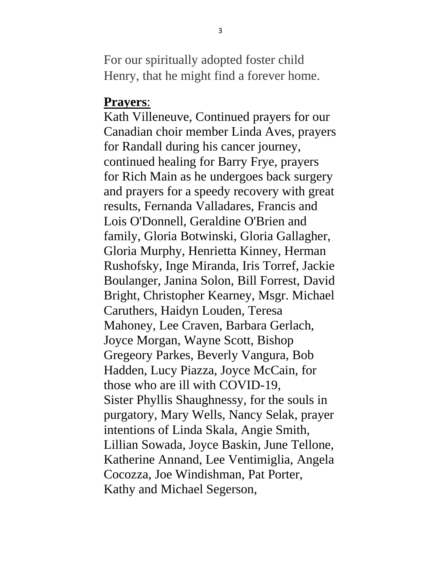For our spiritually adopted foster child Henry, that he might find a forever home.

#### **Prayers**:

Kath Villeneuve, Continued prayers for our Canadian choir member Linda Aves, prayers for Randall during his cancer journey, continued healing for Barry Frye, prayers for Rich Main as he undergoes back surgery and prayers for a speedy recovery with great results, Fernanda Valladares, Francis and Lois O'Donnell, Geraldine O'Brien and family, Gloria Botwinski, Gloria Gallagher, Gloria Murphy, Henrietta Kinney, Herman Rushofsky, Inge Miranda, Iris Torref, Jackie Boulanger, Janina Solon, Bill Forrest, David Bright, Christopher Kearney, Msgr. Michael Caruthers, Haidyn Louden, Teresa Mahoney, Lee Craven, Barbara Gerlach, Joyce Morgan, Wayne Scott, Bishop Gregeory Parkes, Beverly Vangura, Bob Hadden, Lucy Piazza, Joyce McCain, for those who are ill with COVID-19, Sister Phyllis Shaughnessy, for the souls in purgatory, Mary Wells, Nancy Selak, prayer intentions of Linda Skala, Angie Smith, Lillian Sowada, Joyce Baskin, June Tellone, Katherine Annand, Lee Ventimiglia, Angela Cocozza, Joe Windishman, Pat Porter, Kathy and Michael Segerson,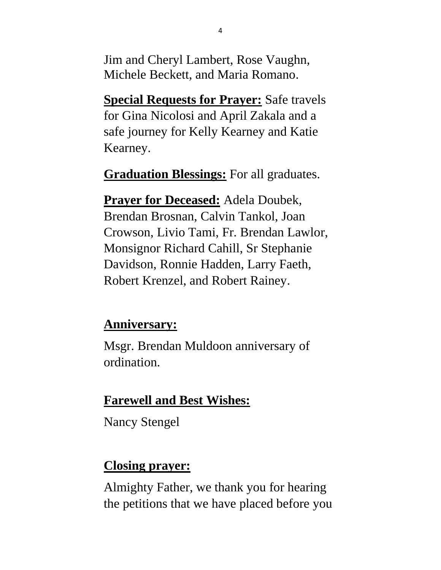Jim and Cheryl Lambert, Rose Vaughn, Michele Beckett, and Maria Romano.

**Special Requests for Prayer:** Safe travels for Gina Nicolosi and April Zakala and a safe journey for Kelly Kearney and Katie Kearney.

**Graduation Blessings:** For all graduates.

**Prayer for Deceased:** Adela Doubek, Brendan Brosnan, Calvin Tankol, Joan Crowson, Livio Tami, Fr. Brendan Lawlor, Monsignor Richard Cahill, Sr Stephanie Davidson, Ronnie Hadden, Larry Faeth, Robert Krenzel, and Robert Rainey.

#### **Anniversary:**

Msgr. Brendan Muldoon anniversary of ordination.

## **Farewell and Best Wishes:**

Nancy Stengel

### **Closing prayer:**

Almighty Father, we thank you for hearing the petitions that we have placed before you